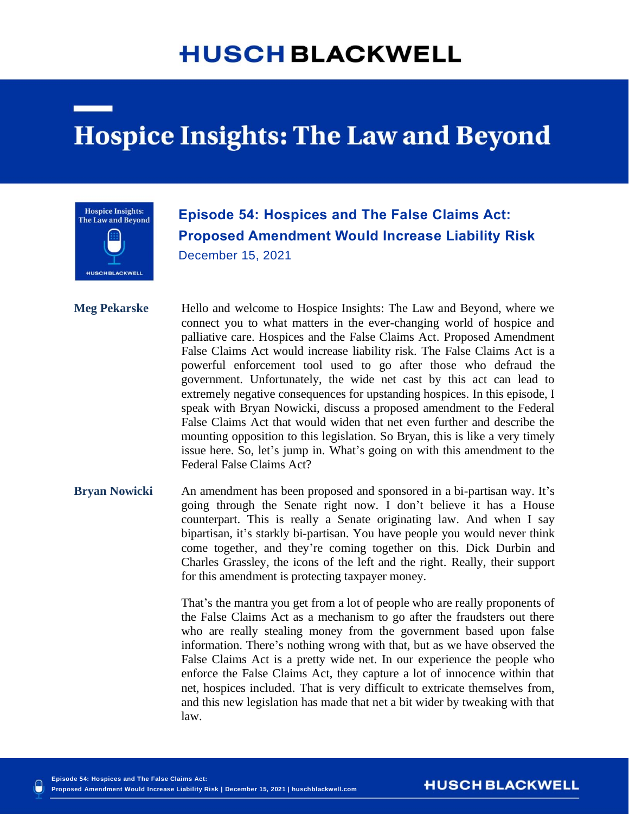## **HUSCH BLACKWELL**

## **Hospice Insights: The Law and Beyond**



## **Episode 54: Hospices and The False Claims Act: Proposed Amendment Would Increase Liability Risk** December 15, 2021

**Meg Pekarske** Hello and welcome to Hospice Insights: The Law and Beyond, where we connect you to what matters in the ever-changing world of hospice and palliative care. Hospices and the False Claims Act. Proposed Amendment False Claims Act would increase liability risk. The False Claims Act is a powerful enforcement tool used to go after those who defraud the government. Unfortunately, the wide net cast by this act can lead to extremely negative consequences for upstanding hospices. In this episode, I speak with Bryan Nowicki, discuss a proposed amendment to the Federal False Claims Act that would widen that net even further and describe the mounting opposition to this legislation. So Bryan, this is like a very timely issue here. So, let's jump in. What's going on with this amendment to the Federal False Claims Act?

**Bryan Nowicki** An amendment has been proposed and sponsored in a bi-partisan way. It's going through the Senate right now. I don't believe it has a House counterpart. This is really a Senate originating law. And when I say bipartisan, it's starkly bi-partisan. You have people you would never think come together, and they're coming together on this. Dick Durbin and Charles Grassley, the icons of the left and the right. Really, their support for this amendment is protecting taxpayer money.

> That's the mantra you get from a lot of people who are really proponents of the False Claims Act as a mechanism to go after the fraudsters out there who are really stealing money from the government based upon false information. There's nothing wrong with that, but as we have observed the False Claims Act is a pretty wide net. In our experience the people who enforce the False Claims Act, they capture a lot of innocence within that net, hospices included. That is very difficult to extricate themselves from, and this new legislation has made that net a bit wider by tweaking with that law.

**HUSCH BLACKWELL**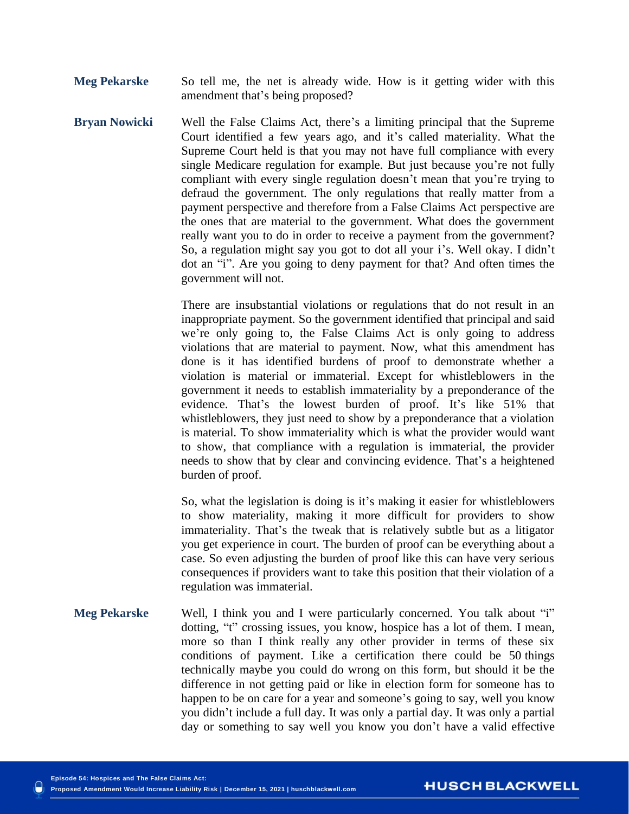**Meg Pekarske** So tell me, the net is already wide. How is it getting wider with this amendment that's being proposed?

**Bryan Nowicki** Well the False Claims Act, there's a limiting principal that the Supreme Court identified a few years ago, and it's called materiality. What the Supreme Court held is that you may not have full compliance with every single Medicare regulation for example. But just because you're not fully compliant with every single regulation doesn't mean that you're trying to defraud the government. The only regulations that really matter from a payment perspective and therefore from a False Claims Act perspective are the ones that are material to the government. What does the government really want you to do in order to receive a payment from the government? So, a regulation might say you got to dot all your i's. Well okay. I didn't dot an "i". Are you going to deny payment for that? And often times the government will not.

> There are insubstantial violations or regulations that do not result in an inappropriate payment. So the government identified that principal and said we're only going to, the False Claims Act is only going to address violations that are material to payment. Now, what this amendment has done is it has identified burdens of proof to demonstrate whether a violation is material or immaterial. Except for whistleblowers in the government it needs to establish immateriality by a preponderance of the evidence. That's the lowest burden of proof. It's like 51% that whistleblowers, they just need to show by a preponderance that a violation is material. To show immateriality which is what the provider would want to show, that compliance with a regulation is immaterial, the provider needs to show that by clear and convincing evidence. That's a heightened burden of proof.

> So, what the legislation is doing is it's making it easier for whistleblowers to show materiality, making it more difficult for providers to show immateriality. That's the tweak that is relatively subtle but as a litigator you get experience in court. The burden of proof can be everything about a case. So even adjusting the burden of proof like this can have very serious consequences if providers want to take this position that their violation of a regulation was immaterial.

**Meg Pekarske** Well, I think you and I were particularly concerned. You talk about "i" dotting, "t" crossing issues, you know, hospice has a lot of them. I mean, more so than I think really any other provider in terms of these six conditions of payment. Like a certification there could be 50 things technically maybe you could do wrong on this form, but should it be the difference in not getting paid or like in election form for someone has to happen to be on care for a year and someone's going to say, well you know you didn't include a full day. It was only a partial day. It was only a partial day or something to say well you know you don't have a valid effective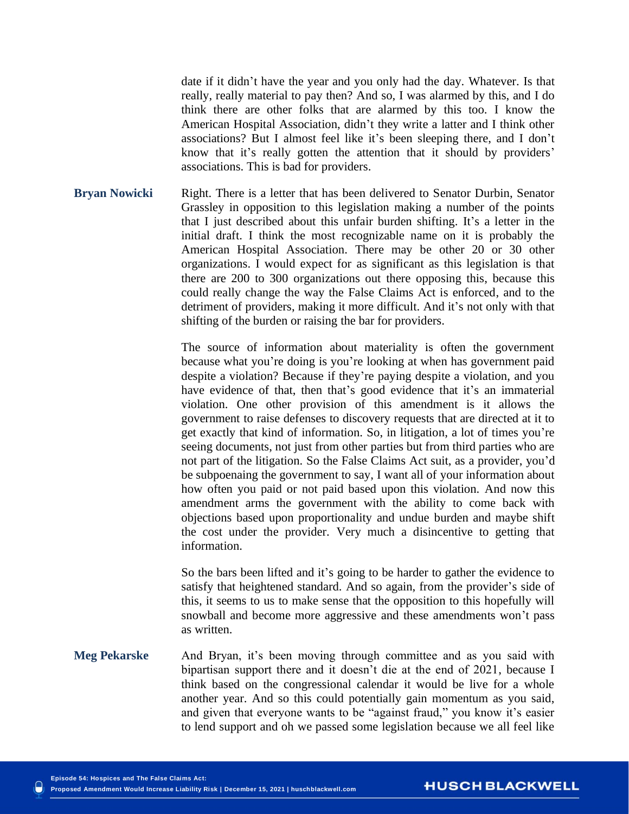date if it didn't have the year and you only had the day. Whatever. Is that really, really material to pay then? And so, I was alarmed by this, and I do think there are other folks that are alarmed by this too. I know the American Hospital Association, didn't they write a latter and I think other associations? But I almost feel like it's been sleeping there, and I don't know that it's really gotten the attention that it should by providers' associations. This is bad for providers.

**Bryan Nowicki** Right. There is a letter that has been delivered to Senator Durbin, Senator Grassley in opposition to this legislation making a number of the points that I just described about this unfair burden shifting. It's a letter in the initial draft. I think the most recognizable name on it is probably the American Hospital Association. There may be other 20 or 30 other organizations. I would expect for as significant as this legislation is that there are 200 to 300 organizations out there opposing this, because this could really change the way the False Claims Act is enforced, and to the detriment of providers, making it more difficult. And it's not only with that shifting of the burden or raising the bar for providers.

> The source of information about materiality is often the government because what you're doing is you're looking at when has government paid despite a violation? Because if they're paying despite a violation, and you have evidence of that, then that's good evidence that it's an immaterial violation. One other provision of this amendment is it allows the government to raise defenses to discovery requests that are directed at it to get exactly that kind of information. So, in litigation, a lot of times you're seeing documents, not just from other parties but from third parties who are not part of the litigation. So the False Claims Act suit, as a provider, you'd be subpoenaing the government to say, I want all of your information about how often you paid or not paid based upon this violation. And now this amendment arms the government with the ability to come back with objections based upon proportionality and undue burden and maybe shift the cost under the provider. Very much a disincentive to getting that information.

> So the bars been lifted and it's going to be harder to gather the evidence to satisfy that heightened standard. And so again, from the provider's side of this, it seems to us to make sense that the opposition to this hopefully will snowball and become more aggressive and these amendments won't pass as written.

**Meg Pekarske** And Bryan, it's been moving through committee and as you said with bipartisan support there and it doesn't die at the end of 2021, because I think based on the congressional calendar it would be live for a whole another year. And so this could potentially gain momentum as you said, and given that everyone wants to be "against fraud," you know it's easier to lend support and oh we passed some legislation because we all feel like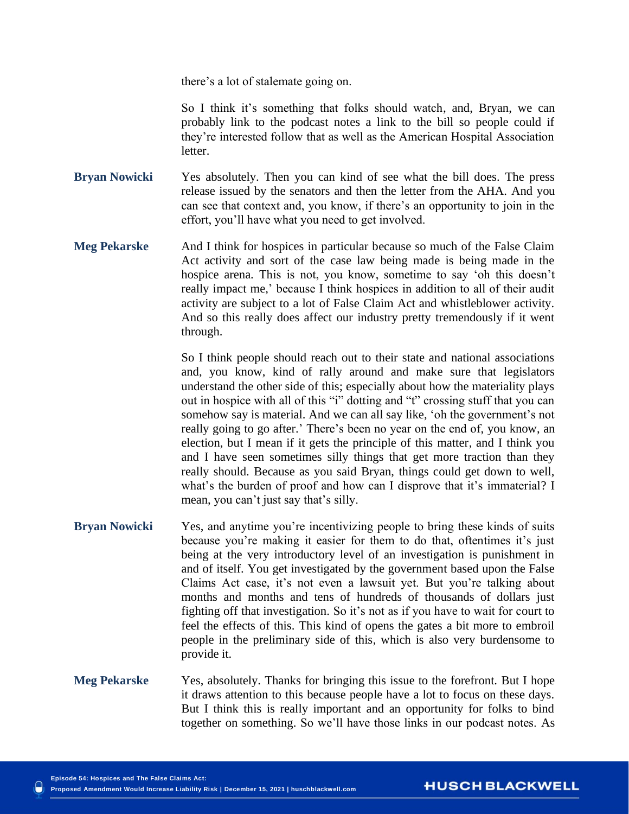there's a lot of stalemate going on.

So I think it's something that folks should watch, and, Bryan, we can probably link to the podcast notes a link to the bill so people could if they're interested follow that as well as the American Hospital Association letter.

**Bryan Nowicki** Yes absolutely. Then you can kind of see what the bill does. The press release issued by the senators and then the letter from the AHA. And you can see that context and, you know, if there's an opportunity to join in the effort, you'll have what you need to get involved.

**Meg Pekarske** And I think for hospices in particular because so much of the False Claim Act activity and sort of the case law being made is being made in the hospice arena. This is not, you know, sometime to say 'oh this doesn't really impact me,' because I think hospices in addition to all of their audit activity are subject to a lot of False Claim Act and whistleblower activity. And so this really does affect our industry pretty tremendously if it went through.

> So I think people should reach out to their state and national associations and, you know, kind of rally around and make sure that legislators understand the other side of this; especially about how the materiality plays out in hospice with all of this "i" dotting and "t" crossing stuff that you can somehow say is material. And we can all say like, 'oh the government's not really going to go after.' There's been no year on the end of, you know, an election, but I mean if it gets the principle of this matter, and I think you and I have seen sometimes silly things that get more traction than they really should. Because as you said Bryan, things could get down to well, what's the burden of proof and how can I disprove that it's immaterial? I mean, you can't just say that's silly.

- **Bryan Nowicki** Yes, and anytime you're incentivizing people to bring these kinds of suits because you're making it easier for them to do that, oftentimes it's just being at the very introductory level of an investigation is punishment in and of itself. You get investigated by the government based upon the False Claims Act case, it's not even a lawsuit yet. But you're talking about months and months and tens of hundreds of thousands of dollars just fighting off that investigation. So it's not as if you have to wait for court to feel the effects of this. This kind of opens the gates a bit more to embroil people in the preliminary side of this, which is also very burdensome to provide it.
- **Meg Pekarske** Yes, absolutely. Thanks for bringing this issue to the forefront. But I hope it draws attention to this because people have a lot to focus on these days. But I think this is really important and an opportunity for folks to bind together on something. So we'll have those links in our podcast notes. As